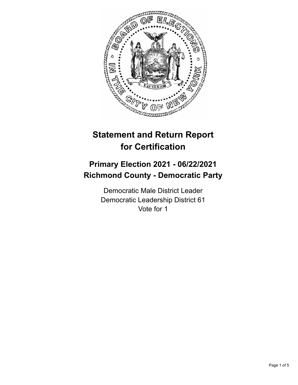

# **Statement and Return Report for Certification**

## **Primary Election 2021 - 06/22/2021 Richmond County - Democratic Party**

Democratic Male District Leader Democratic Leadership District 61 Vote for 1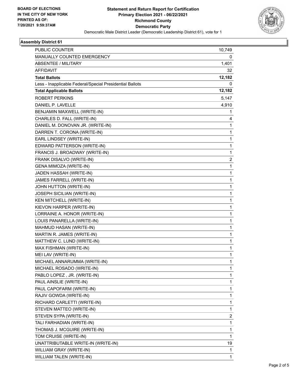

## **Assembly District 61**

| PUBLIC COUNTER                                           | 10,749       |
|----------------------------------------------------------|--------------|
| <b>MANUALLY COUNTED EMERGENCY</b>                        | 0            |
| <b>ABSENTEE / MILITARY</b>                               | 1,401        |
| <b>AFFIDAVIT</b>                                         | 32           |
| <b>Total Ballots</b>                                     | 12,182       |
| Less - Inapplicable Federal/Special Presidential Ballots | 0            |
| <b>Total Applicable Ballots</b>                          | 12,182       |
| <b>ROBERT PERKINS</b>                                    | 5,147        |
| DANIEL P. LAVELLE                                        | 4,910        |
| BENJAMIN MAXWELL (WRITE-IN)                              | 1            |
| CHARLES D. FALL (WRITE-IN)                               | 4            |
| DANIEL M. DONOVAN JR. (WRITE-IN)                         | 1            |
| DARREN T. CORONA (WRITE-IN)                              | 1            |
| EARL LINDSEY (WRITE-IN)                                  | 1            |
| EDWARD PATTERSON (WRITE-IN)                              | 1            |
| FRANCIS J. BROADWAY (WRITE-IN)                           | 1            |
| FRANK DISALVO (WRITE-IN)                                 | 2            |
| GENA MIMOZA (WRITE-IN)                                   | 1            |
| JADEN HASSAH (WRITE-IN)                                  | 1            |
| JAMES FARRELL (WRITE-IN)                                 | $\mathbf{1}$ |
| JOHN HUTTON (WRITE-IN)                                   | 1            |
| JOSEPH SICILIAN (WRITE-IN)                               | 1            |
| KEN MITCHELL (WRITE-IN)                                  | 1            |
| KIEVON HARPER (WRITE-IN)                                 | 1            |
| LORRAINE A. HONOR (WRITE-IN)                             | 1            |
| LOUIS PANARELLA (WRITE-IN)                               | $\mathbf{1}$ |
| MAHMUD HASAN (WRITE-IN)                                  | 1            |
| MARTIN R. JAMES (WRITE-IN)                               | 1            |
| MATTHEW C. LUND (WRITE-IN)                               | 1            |
| MAX FISHMAN (WRITE-IN)                                   | 1            |
| MEI LAV (WRITE-IN)                                       | 1            |
| MICHAEL ANNARUMMA (WRITE-IN)                             | 1            |
| MICHAEL ROSADO (WRITE-IN)                                | 1            |
| PABLO LOPEZ, JR. (WRITE-IN)                              | 1            |
| PAUL AINSLIE (WRITE-IN)                                  | 1            |
| PAUL CAPOFARM (WRITE-IN)                                 | 1            |
| RAJIV GOWDA (WRITE-IN)                                   | 1            |
| RICHARD CARLETTI (WRITE-IN)                              | 1            |
| STEVEN MATTEO (WRITE-IN)                                 | 1            |
| STEVEN SYPA (WRITE-IN)                                   | 2            |
| TALI FARHADIAN (WRITE-IN)                                | 1            |
| THOMAS J. MCGUIRE (WRITE-IN)                             | 1            |
| TOM CRUISE (WRITE-IN)                                    | 1            |
| UNATTRIBUTABLE WRITE-IN (WRITE-IN)                       | 19           |
| WILLIAM GRAY (WRITE-IN)                                  | 1            |
| WILLIAM TALEN (WRITE-IN)                                 | 1            |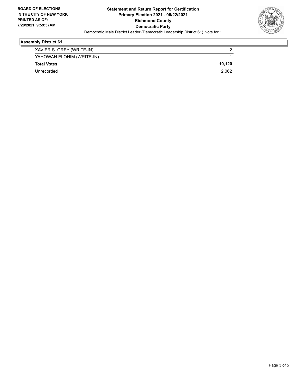

## **Assembly District 61**

| XAVIER S. GREY (WRITE-IN) |        |
|---------------------------|--------|
| YAHOWAH ELOHIM (WRITE-IN) |        |
| <b>Total Votes</b>        | 10.120 |
| Unrecorded                | 2.062  |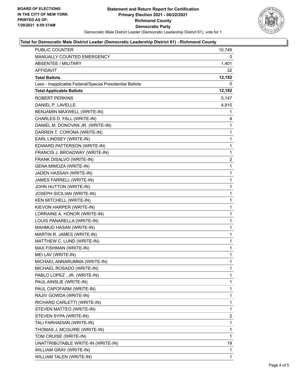

#### **Total for Democratic Male District Leader (Democratic Leadership District 61) - Richmond County**

| <b>PUBLIC COUNTER</b>                                    | 10,749 |
|----------------------------------------------------------|--------|
| MANUALLY COUNTED EMERGENCY                               | 0      |
| <b>ABSENTEE / MILITARY</b>                               | 1,401  |
| AFFIDAVIT                                                | 32     |
| <b>Total Ballots</b>                                     | 12,182 |
| Less - Inapplicable Federal/Special Presidential Ballots | 0      |
| <b>Total Applicable Ballots</b>                          | 12,182 |
| <b>ROBERT PERKINS</b>                                    | 5,147  |
| DANIEL P. LAVELLE                                        | 4,910  |
| BENJAMIN MAXWELL (WRITE-IN)                              | 1      |
| CHARLES D. FALL (WRITE-IN)                               | 4      |
| DANIEL M. DONOVAN JR. (WRITE-IN)                         | 1      |
| DARREN T. CORONA (WRITE-IN)                              | 1      |
| EARL LINDSEY (WRITE-IN)                                  | 1      |
| EDWARD PATTERSON (WRITE-IN)                              | 1      |
| FRANCIS J. BROADWAY (WRITE-IN)                           | 1      |
| FRANK DISALVO (WRITE-IN)                                 | 2      |
| GENA MIMOZA (WRITE-IN)                                   | 1      |
| JADEN HASSAH (WRITE-IN)                                  | 1      |
| JAMES FARRELL (WRITE-IN)                                 | 1      |
| JOHN HUTTON (WRITE-IN)                                   | 1      |
| <b>JOSEPH SICILIAN (WRITE-IN)</b>                        | 1      |
| KEN MITCHELL (WRITE-IN)                                  | 1      |
| KIEVON HARPER (WRITE-IN)                                 | 1      |
| LORRAINE A. HONOR (WRITE-IN)                             | 1      |
| LOUIS PANARELLA (WRITE-IN)                               | 1      |
| MAHMUD HASAN (WRITE-IN)                                  | 1      |
| MARTIN R. JAMES (WRITE-IN)                               | 1      |
| MATTHEW C. LUND (WRITE-IN)                               | 1      |
| MAX FISHMAN (WRITE-IN)                                   | 1      |
| MEI LAV (WRITE-IN)                                       | 1      |
| MICHAEL ANNARUMMA (WRITE-IN)                             | 1      |
| MICHAEL ROSADO (WRITE-IN)                                | 1      |
| PABLO LOPEZ, JR. (WRITE-IN)                              | 1      |
| PAUL AINSLIE (WRITE-IN)                                  | 1      |
| PAUL CAPOFARM (WRITE-IN)                                 | 1      |
| RAJIV GOWDA (WRITE-IN)                                   | 1      |
| RICHARD CARLETTI (WRITE-IN)                              | 1      |
| STEVEN MATTEO (WRITE-IN)                                 | 1      |
| STEVEN SYPA (WRITE-IN)                                   | 2      |
| TALI FARHADIAN (WRITE-IN)                                | 1      |
| THOMAS J. MCGUIRE (WRITE-IN)                             | 1      |
| TOM CRUISE (WRITE-IN)                                    | 1      |
| UNATTRIBUTABLE WRITE-IN (WRITE-IN)                       | 19     |
| WILLIAM GRAY (WRITE-IN)                                  | 1      |
| WILLIAM TALEN (WRITE-IN)                                 | 1      |